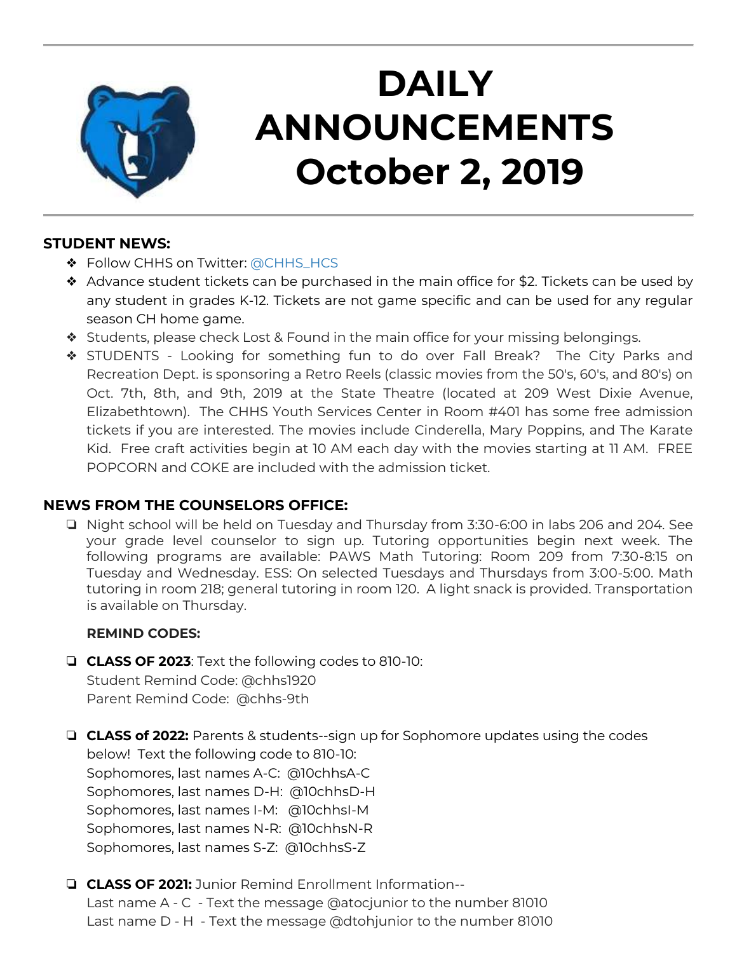

# **DAILY ANNOUNCEMENTS October 2, 2019**

### **STUDENT NEWS:**

- ❖ Follow CHHS on Twitter: [@CHHS\\_HCS](https://twitter.com/CHHS_HCS)
- ❖ Advance student tickets can be purchased in the main office for \$2. Tickets can be used by any student in grades K-12. Tickets are not game specific and can be used for any regular season CH home game.
- ❖ Students, please check Lost & Found in the main office for your missing belongings.
- ❖ STUDENTS Looking for something fun to do over Fall Break? The City Parks and Recreation Dept. is sponsoring a Retro Reels (classic movies from the 50's, 60's, and 80's) on Oct. 7th, 8th, and 9th, 2019 at the State Theatre (located at 209 West Dixie Avenue, Elizabethtown). The CHHS Youth Services Center in Room #401 has some free admission tickets if you are interested. The movies include Cinderella, Mary Poppins, and The Karate Kid. Free craft activities begin at 10 AM each day with the movies starting at 11 AM. FREE POPCORN and COKE are included with the admission ticket.

### **NEWS FROM THE COUNSELORS OFFICE:**

❏ Night school will be held on Tuesday and Thursday from 3:30-6:00 in labs 206 and 204. See your grade level counselor to sign up. Tutoring opportunities begin next week. The following programs are available: PAWS Math Tutoring: Room 209 from 7:30-8:15 on Tuesday and Wednesday. ESS: On selected Tuesdays and Thursdays from 3:00-5:00. Math tutoring in room 218; general tutoring in room 120. A light snack is provided. Transportation is available on Thursday.

### **REMIND CODES:**

- ❏ **CLASS OF 2023**: Text the following codes to 810-10: Student Remind Code: @chhs1920 Parent Remind Code: @chhs-9th
- ❏ **CLASS of 2022:** Parents & students--sign up for Sophomore updates using the codes below! Text the following code to 810-10: Sophomores, last names A-C: @10chhsA-C Sophomores, last names D-H: @10chhsD-H Sophomores, last names I-M: @10chhsI-M Sophomores, last names N-R: @10chhsN-R Sophomores, last names S-Z: @10chhsS-Z
- ❏ **CLASS OF 2021:** Junior Remind Enrollment Information-- Last name A - C - Text the message @atocjunior to the number 81010 Last name D - H - Text the message @dtohjunior to the number 81010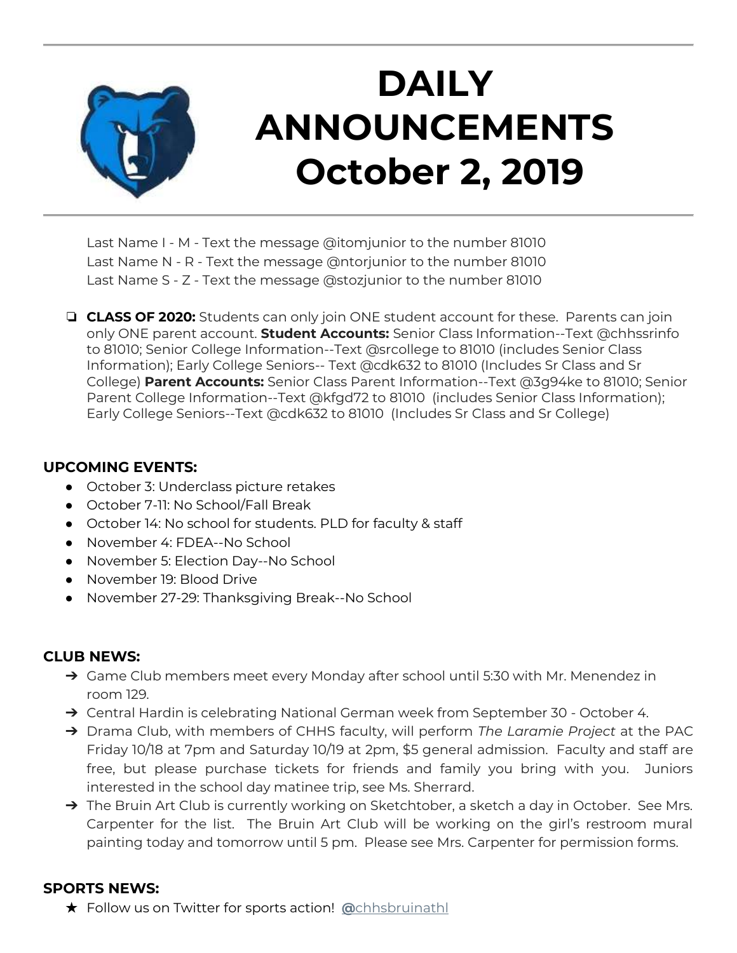

# **DAILY ANNOUNCEMENTS October 2, 2019**

Last Name I - M - Text the message @itomjunior to the number 81010 Last Name N - R - Text the message @ntorjunior to the number 81010 Last Name S - Z - Text the message @stozjunior to the number 81010

❏ **CLASS OF 2020:** Students can only join ONE student account for these. Parents can join only ONE parent account. **Student Accounts:** Senior Class Information--Text @chhssrinfo to 81010; Senior College Information--Text @srcollege to 81010 (includes Senior Class Information); Early College Seniors-- Text @cdk632 to 81010 (Includes Sr Class and Sr College) **Parent Accounts:** Senior Class Parent Information--Text @3g94ke to 81010; Senior Parent College Information--Text @kfgd72 to 81010 (includes Senior Class Information); Early College Seniors--Text @cdk632 to 81010 (Includes Sr Class and Sr College)

#### **UPCOMING EVENTS:**

- October 3: Underclass picture retakes
- October 7-11: No School/Fall Break
- October 14: No school for students. PLD for faculty & staff
- November 4: FDEA--No School
- November 5: Election Day--No School
- November 19: Blood Drive
- November 27-29: Thanksgiving Break--No School

### **CLUB NEWS:**

- ➔ Game Club members meet every Monday after school until 5:30 with Mr. Menendez in room 129.
- ➔ Central Hardin is celebrating National German week from September 30 October 4.
- ➔ Drama Club, with members of CHHS faculty, will perform *The Laramie Project* at the PAC Friday 10/18 at 7pm and Saturday 10/19 at 2pm, \$5 general admission. Faculty and staff are free, but please purchase tickets for friends and family you bring with you. Juniors interested in the school day matinee trip, see Ms. Sherrard.
- → The Bruin Art Club is currently working on Sketchtober, a sketch a day in October. See Mrs. Carpenter for the list. The Bruin Art Club will be working on the girl's restroom mural painting today and tomorrow until 5 pm. Please see Mrs. Carpenter for permission forms.

### **SPORTS NEWS:**

★ Follow us on Twitter for sports action! **[@](https://twitter.com/chhsbruinathl)**[chhsbruinathl](https://twitter.com/chhsbruinathl)